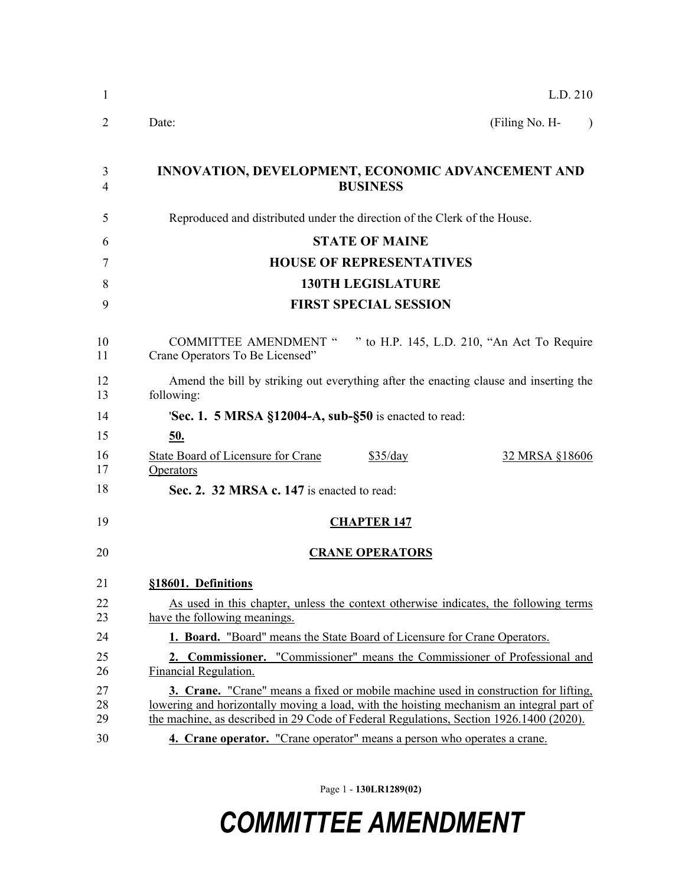| 1              | L.D. 210                                                                                                                                                                                                                                                                         |  |  |
|----------------|----------------------------------------------------------------------------------------------------------------------------------------------------------------------------------------------------------------------------------------------------------------------------------|--|--|
| 2              | (Filing No. H-<br>Date:<br>$\lambda$                                                                                                                                                                                                                                             |  |  |
| 3<br>4         | INNOVATION, DEVELOPMENT, ECONOMIC ADVANCEMENT AND<br><b>BUSINESS</b>                                                                                                                                                                                                             |  |  |
| 5              | Reproduced and distributed under the direction of the Clerk of the House.                                                                                                                                                                                                        |  |  |
| 6              | <b>STATE OF MAINE</b>                                                                                                                                                                                                                                                            |  |  |
| 7              | <b>HOUSE OF REPRESENTATIVES</b>                                                                                                                                                                                                                                                  |  |  |
| 8              | <b>130TH LEGISLATURE</b>                                                                                                                                                                                                                                                         |  |  |
| 9              | <b>FIRST SPECIAL SESSION</b>                                                                                                                                                                                                                                                     |  |  |
| 10<br>11       | COMMITTEE AMENDMENT " " to H.P. 145, L.D. 210, "An Act To Require<br>Crane Operators To Be Licensed"                                                                                                                                                                             |  |  |
| 12<br>13       | Amend the bill by striking out everything after the enacting clause and inserting the<br>following:                                                                                                                                                                              |  |  |
| 14             | <b>Sec. 1. 5 MRSA §12004-A, sub-§50</b> is enacted to read:                                                                                                                                                                                                                      |  |  |
| 15             | <u>50.</u>                                                                                                                                                                                                                                                                       |  |  |
| 16<br>17       | <b>State Board of Licensure for Crane</b><br>\$35/day<br>32 MRSA §18606<br>Operators                                                                                                                                                                                             |  |  |
| 18             | Sec. 2. 32 MRSA c. 147 is enacted to read:                                                                                                                                                                                                                                       |  |  |
| 19             | <b>CHAPTER 147</b>                                                                                                                                                                                                                                                               |  |  |
| 20             | <b>CRANE OPERATORS</b>                                                                                                                                                                                                                                                           |  |  |
| 21             | §18601. Definitions                                                                                                                                                                                                                                                              |  |  |
| 22<br>23       | As used in this chapter, unless the context otherwise indicates, the following terms<br>have the following meanings.                                                                                                                                                             |  |  |
| 24             | 1. Board. "Board" means the State Board of Licensure for Crane Operators.                                                                                                                                                                                                        |  |  |
| 25<br>26       | 2. Commissioner. "Commissioner" means the Commissioner of Professional and<br>Financial Regulation.                                                                                                                                                                              |  |  |
| 27<br>28<br>29 | <b>3. Crane.</b> "Crane" means a fixed or mobile machine used in construction for lifting,<br>lowering and horizontally moving a load, with the hoisting mechanism an integral part of<br>the machine, as described in 29 Code of Federal Regulations, Section 1926.1400 (2020). |  |  |
| 30             | 4. Crane operator. "Crane operator" means a person who operates a crane.                                                                                                                                                                                                         |  |  |
|                |                                                                                                                                                                                                                                                                                  |  |  |

Page 1 - **130LR1289(02)**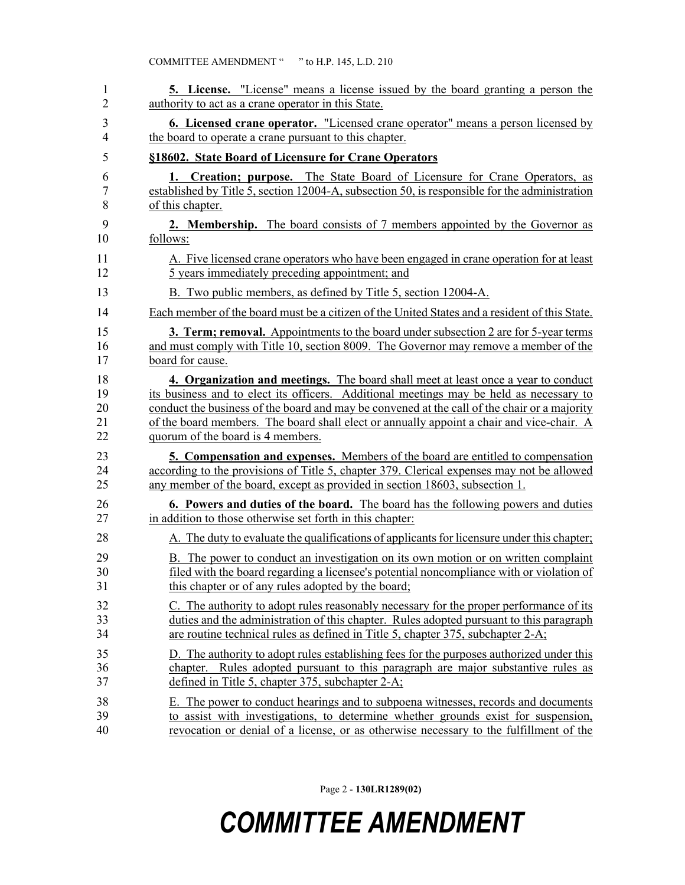| 1  | <b>5.</b> License. "License" means a license issued by the board granting a person the        |
|----|-----------------------------------------------------------------------------------------------|
| 2  | authority to act as a crane operator in this State.                                           |
| 3  | <b>6. Licensed crane operator.</b> "Licensed crane operator" means a person licensed by       |
| 4  | the board to operate a crane pursuant to this chapter.                                        |
| 5  | §18602. State Board of Licensure for Crane Operators                                          |
| 6  | 1. Creation; purpose. The State Board of Licensure for Crane Operators, as                    |
| 7  | established by Title 5, section 12004-A, subsection 50, is responsible for the administration |
| 8  | of this chapter.                                                                              |
| 9  | <b>2. Membership.</b> The board consists of 7 members appointed by the Governor as            |
| 10 | follows:                                                                                      |
| 11 | A. Five licensed crane operators who have been engaged in crane operation for at least        |
| 12 | 5 years immediately preceding appointment; and                                                |
| 13 | B. Two public members, as defined by Title 5, section 12004-A.                                |
| 14 | Each member of the board must be a citizen of the United States and a resident of this State. |
| 15 | 3. Term; removal. Appointments to the board under subsection 2 are for 5-year terms           |
| 16 | and must comply with Title 10, section 8009. The Governor may remove a member of the          |
| 17 | board for cause.                                                                              |
| 18 | 4. Organization and meetings. The board shall meet at least once a year to conduct            |
| 19 | its business and to elect its officers. Additional meetings may be held as necessary to       |
| 20 | conduct the business of the board and may be convened at the call of the chair or a majority  |
| 21 | of the board members. The board shall elect or annually appoint a chair and vice-chair. A     |
| 22 | quorum of the board is 4 members.                                                             |
| 23 | <b>5. Compensation and expenses.</b> Members of the board are entitled to compensation        |
| 24 | according to the provisions of Title 5, chapter 379. Clerical expenses may not be allowed     |
| 25 | any member of the board, except as provided in section 18603, subsection 1.                   |
| 26 | <b>6. Powers and duties of the board.</b> The board has the following powers and duties       |
| 27 | in addition to those otherwise set forth in this chapter:                                     |
| 28 | A. The duty to evaluate the qualifications of applicants for licensure under this chapter;    |
| 29 | B. The power to conduct an investigation on its own motion or on written complaint            |
| 30 | filed with the board regarding a licensee's potential noncompliance with or violation of      |
| 31 | this chapter or of any rules adopted by the board;                                            |
| 32 | C. The authority to adopt rules reasonably necessary for the proper performance of its        |
| 33 | duties and the administration of this chapter. Rules adopted pursuant to this paragraph       |
| 34 | are routine technical rules as defined in Title 5, chapter 375, subchapter 2-A;               |
| 35 | D. The authority to adopt rules establishing fees for the purposes authorized under this      |
| 36 | chapter. Rules adopted pursuant to this paragraph are major substantive rules as              |
| 37 | defined in Title 5, chapter 375, subchapter 2-A;                                              |
| 38 | E. The power to conduct hearings and to subpoena witnesses, records and documents             |
| 39 | to assist with investigations, to determine whether grounds exist for suspension,             |
| 40 | revocation or denial of a license, or as otherwise necessary to the fulfillment of the        |

Page 2 - **130LR1289(02)**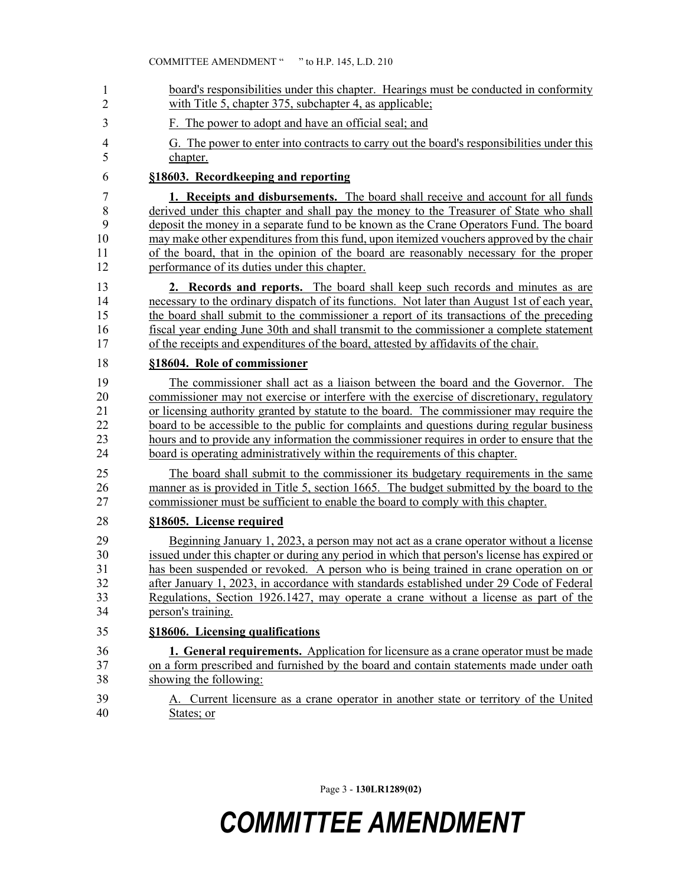| $\mathbf{1}$   | board's responsibilities under this chapter. Hearings must be conducted in conformity        |
|----------------|----------------------------------------------------------------------------------------------|
| $\overline{2}$ | with Title 5, chapter 375, subchapter 4, as applicable;                                      |
| 3              | F. The power to adopt and have an official seal; and                                         |
| $\overline{4}$ | G. The power to enter into contracts to carry out the board's responsibilities under this    |
| 5              | chapter.                                                                                     |
| 6              | §18603. Recordkeeping and reporting                                                          |
| 7              | 1. Receipts and disbursements. The board shall receive and account for all funds             |
| 8              | derived under this chapter and shall pay the money to the Treasurer of State who shall       |
| 9              | deposit the money in a separate fund to be known as the Crane Operators Fund. The board      |
| 10             | may make other expenditures from this fund, upon itemized vouchers approved by the chair     |
| 11             | of the board, that in the opinion of the board are reasonably necessary for the proper       |
| 12             | performance of its duties under this chapter.                                                |
| 13             | 2. Records and reports. The board shall keep such records and minutes as are                 |
| 14             | necessary to the ordinary dispatch of its functions. Not later than August 1st of each year, |
| 15             | the board shall submit to the commissioner a report of its transactions of the preceding     |
| 16             | fiscal year ending June 30th and shall transmit to the commissioner a complete statement     |
| 17             | of the receipts and expenditures of the board, attested by affidavits of the chair.          |
| 18             | §18604. Role of commissioner                                                                 |
| 19             | The commissioner shall act as a liaison between the board and the Governor. The              |
| 20             | commissioner may not exercise or interfere with the exercise of discretionary, regulatory    |
| 21             | or licensing authority granted by statute to the board. The commissioner may require the     |
| 22             | board to be accessible to the public for complaints and questions during regular business    |
| 23             | hours and to provide any information the commissioner requires in order to ensure that the   |
| 24             | board is operating administratively within the requirements of this chapter.                 |
| 25             | The board shall submit to the commissioner its budgetary requirements in the same            |
| 26             | manner as is provided in Title 5, section 1665. The budget submitted by the board to the     |
| 27             | commissioner must be sufficient to enable the board to comply with this chapter.             |
| 28             | §18605. License required                                                                     |
| 29             | Beginning January 1, 2023, a person may not act as a crane operator without a license        |
| 30             | issued under this chapter or during any period in which that person's license has expired or |
| 31             | has been suspended or revoked. A person who is being trained in crane operation on or        |
| 32             | after January 1, 2023, in accordance with standards established under 29 Code of Federal     |
| 33             | Regulations, Section 1926.1427, may operate a crane without a license as part of the         |
| 34             | person's training.                                                                           |
| 35             | §18606. Licensing qualifications                                                             |
| 36             | <b>1. General requirements.</b> Application for licensure as a crane operator must be made   |
| 37             | on a form prescribed and furnished by the board and contain statements made under oath       |
| 38             | showing the following:                                                                       |
| 39             | A. Current licensure as a crane operator in another state or territory of the United         |
| 40             | States; or                                                                                   |

Page 3 - **130LR1289(02)**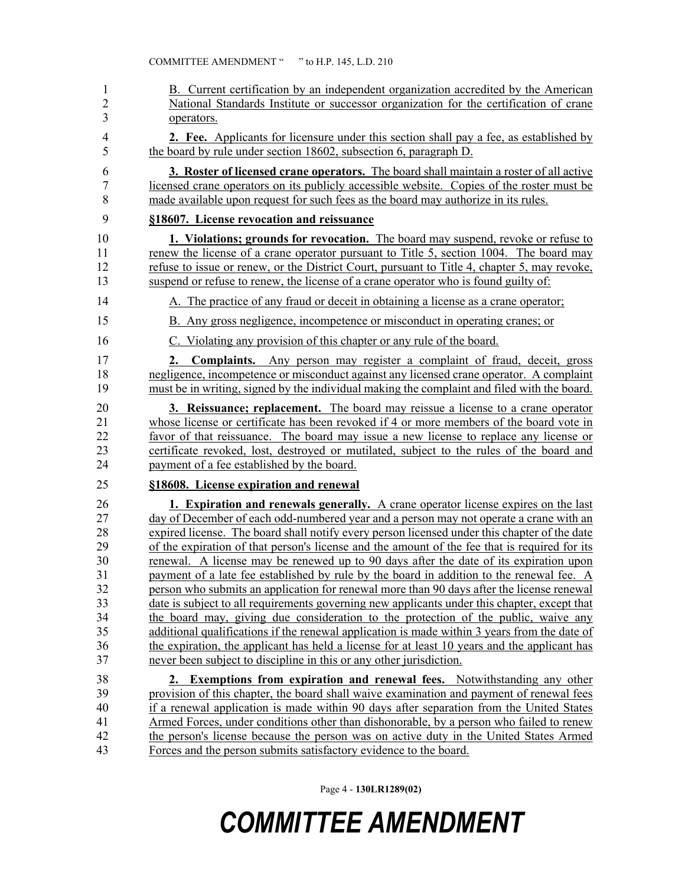| 1                       | B. Current certification by an independent organization accredited by the American                                                                                                                                                                                             |
|-------------------------|--------------------------------------------------------------------------------------------------------------------------------------------------------------------------------------------------------------------------------------------------------------------------------|
| $\overline{c}$          | National Standards Institute or successor organization for the certification of crane                                                                                                                                                                                          |
| $\overline{\mathbf{3}}$ | operators.                                                                                                                                                                                                                                                                     |
| 4                       | 2. Fee. Applicants for licensure under this section shall pay a fee, as established by                                                                                                                                                                                         |
| 5                       | the board by rule under section 18602, subsection 6, paragraph D.                                                                                                                                                                                                              |
| 6                       | <b>3. Roster of licensed crane operators.</b> The board shall maintain a roster of all active                                                                                                                                                                                  |
| 7                       | licensed crane operators on its publicly accessible website. Copies of the roster must be                                                                                                                                                                                      |
| 8                       | made available upon request for such fees as the board may authorize in its rules.                                                                                                                                                                                             |
| 9                       | §18607. License revocation and reissuance                                                                                                                                                                                                                                      |
| 10                      | 1. Violations; grounds for revocation. The board may suspend, revoke or refuse to                                                                                                                                                                                              |
| 11                      | renew the license of a crane operator pursuant to Title 5, section 1004. The board may                                                                                                                                                                                         |
| 12                      | refuse to issue or renew, or the District Court, pursuant to Title 4, chapter 5, may revoke,                                                                                                                                                                                   |
| 13                      | suspend or refuse to renew, the license of a crane operator who is found guilty of:                                                                                                                                                                                            |
| 14                      | A. The practice of any fraud or deceit in obtaining a license as a crane operator;                                                                                                                                                                                             |
| 15                      | B. Any gross negligence, incompetence or misconduct in operating cranes; or                                                                                                                                                                                                    |
| 16                      | C. Violating any provision of this chapter or any rule of the board.                                                                                                                                                                                                           |
| 17<br>18<br>19          | <b>Complaints.</b> Any person may register a complaint of fraud, deceit, gross<br>2.<br>negligence, incompetence or misconduct against any licensed crane operator. A complaint<br>must be in writing, signed by the individual making the complaint and filed with the board. |
| 20                      | 3. Reissuance; replacement. The board may reissue a license to a crane operator                                                                                                                                                                                                |
| 21                      | whose license or certificate has been revoked if 4 or more members of the board vote in                                                                                                                                                                                        |
| 22                      | favor of that reissuance. The board may issue a new license to replace any license or                                                                                                                                                                                          |
| 23                      | certificate revoked, lost, destroyed or mutilated, subject to the rules of the board and                                                                                                                                                                                       |
| 24                      | payment of a fee established by the board.                                                                                                                                                                                                                                     |
| 25                      | §18608. License expiration and renewal                                                                                                                                                                                                                                         |
| 26                      | 1. Expiration and renewals generally. A crane operator license expires on the last                                                                                                                                                                                             |
| 27                      | day of December of each odd-numbered year and a person may not operate a crane with an                                                                                                                                                                                         |
| 28                      | expired license. The board shall notify every person licensed under this chapter of the date                                                                                                                                                                                   |
| 29                      | of the expiration of that person's license and the amount of the fee that is required for its                                                                                                                                                                                  |
| 30                      | renewal. A license may be renewed up to 90 days after the date of its expiration upon                                                                                                                                                                                          |
| 31                      | payment of a late fee established by rule by the board in addition to the renewal fee. A                                                                                                                                                                                       |
| 32                      | person who submits an application for renewal more than 90 days after the license renewal                                                                                                                                                                                      |
| 33                      | date is subject to all requirements governing new applicants under this chapter, except that                                                                                                                                                                                   |
| 34                      | the board may, giving due consideration to the protection of the public, waive any                                                                                                                                                                                             |
| 35                      | additional qualifications if the renewal application is made within 3 years from the date of                                                                                                                                                                                   |
| 36                      | the expiration, the applicant has held a license for at least 10 years and the applicant has                                                                                                                                                                                   |
| 37                      | never been subject to discipline in this or any other jurisdiction.                                                                                                                                                                                                            |
| 38                      | 2. Exemptions from expiration and renewal fees. Notwithstanding any other                                                                                                                                                                                                      |
| 39                      | provision of this chapter, the board shall waive examination and payment of renewal fees                                                                                                                                                                                       |
| 40                      | if a renewal application is made within 90 days after separation from the United States                                                                                                                                                                                        |
| 41                      | Armed Forces, under conditions other than dishonorable, by a person who failed to renew                                                                                                                                                                                        |
| 42                      | the person's license because the person was on active duty in the United States Armed                                                                                                                                                                                          |
| 43                      | Forces and the person submits satisfactory evidence to the board.                                                                                                                                                                                                              |

Page 4 - **130LR1289(02)**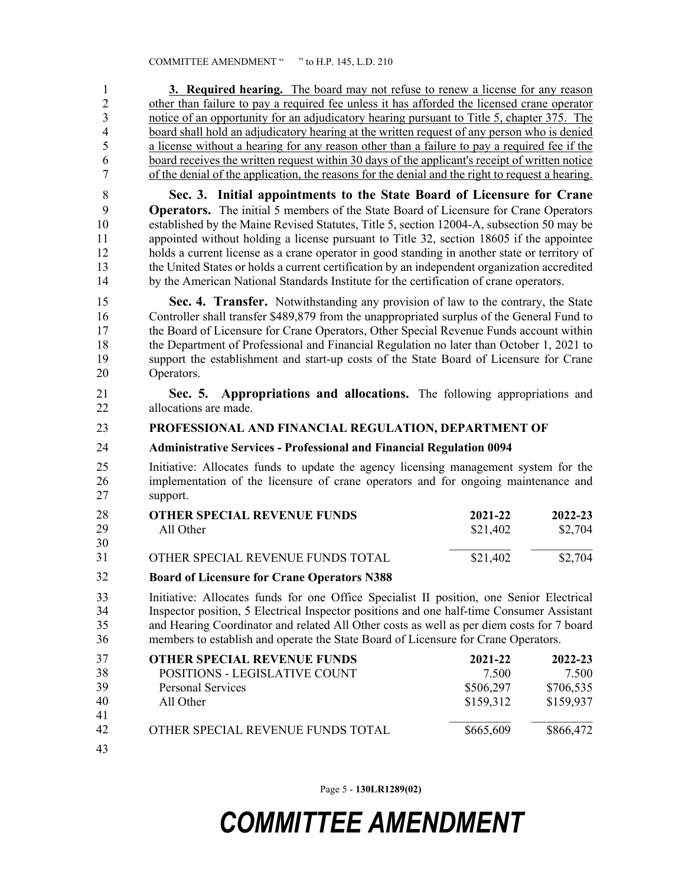| $\mathbf{1}$                              | <b>3. Required hearing.</b> The board may not refuse to renew a license for any reason                                                                                                                                                                                                   |           |           |  |  |
|-------------------------------------------|------------------------------------------------------------------------------------------------------------------------------------------------------------------------------------------------------------------------------------------------------------------------------------------|-----------|-----------|--|--|
| $\overline{2}$                            | other than failure to pay a required fee unless it has afforded the licensed crane operator<br>notice of an opportunity for an adjudicatory hearing pursuant to Title 5, chapter 375. The<br>board shall hold an adjudicatory hearing at the written request of any person who is denied |           |           |  |  |
| $\overline{\mathbf{3}}$<br>$\overline{4}$ |                                                                                                                                                                                                                                                                                          |           |           |  |  |
| 5                                         | a license without a hearing for any reason other than a failure to pay a required fee if the                                                                                                                                                                                             |           |           |  |  |
| 6                                         | board receives the written request within 30 days of the applicant's receipt of written notice                                                                                                                                                                                           |           |           |  |  |
| $\overline{7}$                            | of the denial of the application, the reasons for the denial and the right to request a hearing.                                                                                                                                                                                         |           |           |  |  |
| $\,$ $\,$                                 | Sec. 3. Initial appointments to the State Board of Licensure for Crane                                                                                                                                                                                                                   |           |           |  |  |
| 9                                         | <b>Operators.</b> The initial 5 members of the State Board of Licensure for Crane Operators                                                                                                                                                                                              |           |           |  |  |
| 10                                        | established by the Maine Revised Statutes, Title 5, section 12004-A, subsection 50 may be                                                                                                                                                                                                |           |           |  |  |
| 11<br>12                                  | appointed without holding a license pursuant to Title 32, section 18605 if the appointee<br>holds a current license as a crane operator in good standing in another state or territory of                                                                                                |           |           |  |  |
| 13                                        | the United States or holds a current certification by an independent organization accredited                                                                                                                                                                                             |           |           |  |  |
| 14                                        | by the American National Standards Institute for the certification of crane operators.                                                                                                                                                                                                   |           |           |  |  |
| 15                                        | Sec. 4. Transfer. Notwithstanding any provision of law to the contrary, the State                                                                                                                                                                                                        |           |           |  |  |
| 16                                        | Controller shall transfer \$489,879 from the unappropriated surplus of the General Fund to                                                                                                                                                                                               |           |           |  |  |
| 17                                        | the Board of Licensure for Crane Operators, Other Special Revenue Funds account within                                                                                                                                                                                                   |           |           |  |  |
| 18<br>19                                  | the Department of Professional and Financial Regulation no later than October 1, 2021 to<br>support the establishment and start-up costs of the State Board of Licensure for Crane                                                                                                       |           |           |  |  |
| 20                                        | Operators.                                                                                                                                                                                                                                                                               |           |           |  |  |
| 21                                        | Sec. 5. Appropriations and allocations. The following appropriations and                                                                                                                                                                                                                 |           |           |  |  |
| 22                                        | allocations are made.                                                                                                                                                                                                                                                                    |           |           |  |  |
| 23                                        | PROFESSIONAL AND FINANCIAL REGULATION, DEPARTMENT OF                                                                                                                                                                                                                                     |           |           |  |  |
| 24                                        | <b>Administrative Services - Professional and Financial Regulation 0094</b>                                                                                                                                                                                                              |           |           |  |  |
| 25                                        | Initiative: Allocates funds to update the agency licensing management system for the                                                                                                                                                                                                     |           |           |  |  |
| 26                                        | implementation of the licensure of crane operators and for ongoing maintenance and                                                                                                                                                                                                       |           |           |  |  |
| 27                                        | support.                                                                                                                                                                                                                                                                                 |           |           |  |  |
| 28                                        | <b>OTHER SPECIAL REVENUE FUNDS</b>                                                                                                                                                                                                                                                       | 2021-22   | 2022-23   |  |  |
| 29                                        | All Other                                                                                                                                                                                                                                                                                | \$21,402  | \$2,704   |  |  |
| 30<br>31                                  | OTHER SPECIAL REVENUE FUNDS TOTAL                                                                                                                                                                                                                                                        | \$21,402  | \$2,704   |  |  |
| 32                                        | <b>Board of Licensure for Crane Operators N388</b>                                                                                                                                                                                                                                       |           |           |  |  |
| 33                                        |                                                                                                                                                                                                                                                                                          |           |           |  |  |
| 34                                        | Initiative: Allocates funds for one Office Specialist II position, one Senior Electrical                                                                                                                                                                                                 |           |           |  |  |
| 35                                        | Inspector position, 5 Electrical Inspector positions and one half-time Consumer Assistant<br>and Hearing Coordinator and related All Other costs as well as per diem costs for 7 board                                                                                                   |           |           |  |  |
| 36                                        | members to establish and operate the State Board of Licensure for Crane Operators.                                                                                                                                                                                                       |           |           |  |  |
| 37                                        | <b>OTHER SPECIAL REVENUE FUNDS</b>                                                                                                                                                                                                                                                       | 2021-22   | 2022-23   |  |  |
| 38                                        | POSITIONS - LEGISLATIVE COUNT                                                                                                                                                                                                                                                            | 7.500     | 7.500     |  |  |
| 39                                        | <b>Personal Services</b>                                                                                                                                                                                                                                                                 | \$506,297 | \$706,535 |  |  |
| 40<br>41                                  | All Other                                                                                                                                                                                                                                                                                | \$159,312 | \$159,937 |  |  |
| 42                                        | OTHER SPECIAL REVENUE FUNDS TOTAL                                                                                                                                                                                                                                                        | \$665,609 | \$866,472 |  |  |
|                                           |                                                                                                                                                                                                                                                                                          |           |           |  |  |
| 43                                        |                                                                                                                                                                                                                                                                                          |           |           |  |  |

Page 5 - **130LR1289(02)**